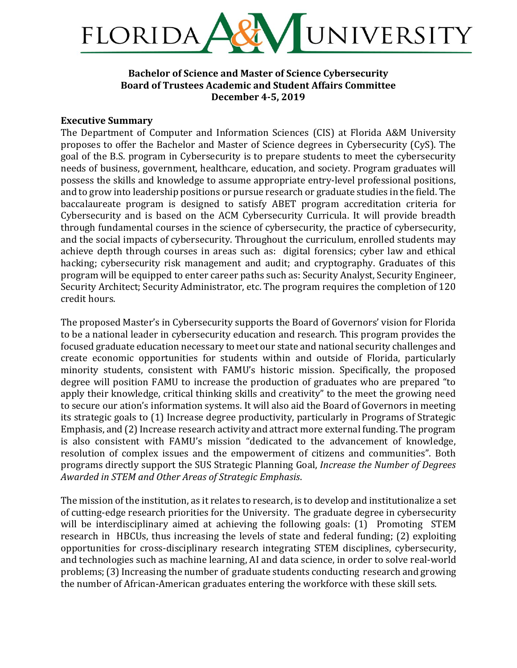

# **Bachelor of Science and Master of Science Cybersecurity Board of Trustees Academic and Student Affairs Committee December 4-5, 2019**

### **Executive Summary**

The Department of Computer and Information Sciences (CIS) at Florida A&M University proposes to offer the Bachelor and Master of Science degrees in Cybersecurity (CyS). The goal of the B.S. program in Cybersecurity is to prepare students to meet the cybersecurity needs of business, government, healthcare, education, and society. Program graduates will possess the skills and knowledge to assume appropriate entry-level professional positions, and to grow into leadership positions or pursue research or graduate studies in the field. The baccalaureate program is designed to satisfy ABET program accreditation criteria for Cybersecurity and is based on the ACM Cybersecurity Curricula. It will provide breadth through fundamental courses in the science of cybersecurity, the practice of cybersecurity, and the social impacts of cybersecurity. Throughout the curriculum, enrolled students may achieve depth through courses in areas such as: digital forensics; cyber law and ethical hacking; cybersecurity risk management and audit; and cryptography. Graduates of this program will be equipped to enter career paths such as: Security Analyst, Security Engineer, Security Architect; Security Administrator, etc. The program requires the completion of 120 credit hours.

The proposed Master's in Cybersecurity supports the Board of Governors' vision for Florida to be a national leader in cybersecurity education and research. This program provides the focused graduate education necessary to meet our state and national security challenges and create economic opportunities for students within and outside of Florida, particularly minority students, consistent with FAMU's historic mission. Specifically, the proposed degree will position FAMU to increase the production of graduates who are prepared "to apply their knowledge, critical thinking skills and creativity" to the meet the growing need to secure our ation's information systems. It will also aid the Board of Governors in meeting its strategic goals to (1) Increase degree productivity, particularly in Programs of Strategic Emphasis, and (2) Increase research activity and attract more external funding. The program is also consistent with FAMU's mission "dedicated to the advancement of knowledge, resolution of complex issues and the empowerment of citizens and communities". Both programs directly support the SUS Strategic Planning Goal, *Increase the Number of Degrees* Awarded in STEM and Other Areas of Strategic Emphasis.

The mission of the institution, as it relates to research, is to develop and institutionalize a set of cutting-edge research priorities for the University. The graduate degree in cybersecurity will be interdisciplinary aimed at achieving the following goals: (1) Promoting STEM research in HBCUs, thus increasing the levels of state and federal funding; (2) exploiting opportunities for cross-disciplinary research integrating STEM disciplines, cybersecurity, and technologies such as machine learning, AI and data science, in order to solve real-world problems; (3) Increasing the number of graduate students conducting research and growing the number of African-American graduates entering the workforce with these skill sets.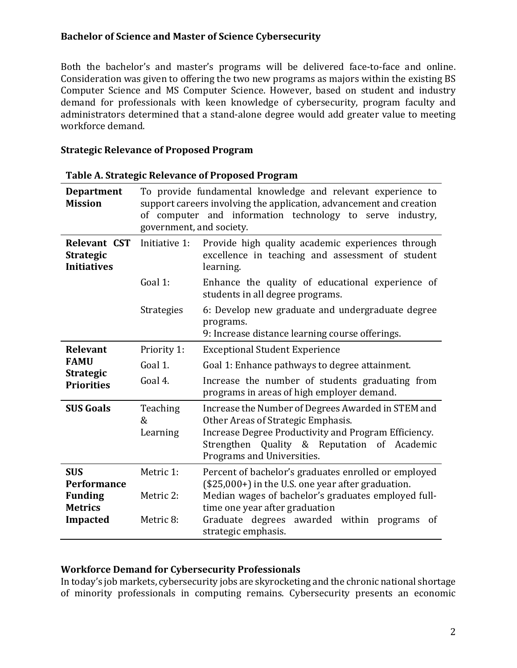Both the bachelor's and master's programs will be delivered face-to-face and online. Consideration was given to offering the two new programs as majors within the existing BS Computer Science and MS Computer Science. However, based on student and industry demand for professionals with keen knowledge of cybersecurity, program faculty and administrators determined that a stand-alone degree would add greater value to meeting workforce demand. 

### **Strategic Relevance of Proposed Program**

| <b>Department</b><br><b>Mission</b>                           | To provide fundamental knowledge and relevant experience to<br>support careers involving the application, advancement and creation<br>of computer and information technology to serve industry,<br>government, and society. |                                                                                                                                                                                                                               |  |
|---------------------------------------------------------------|-----------------------------------------------------------------------------------------------------------------------------------------------------------------------------------------------------------------------------|-------------------------------------------------------------------------------------------------------------------------------------------------------------------------------------------------------------------------------|--|
| <b>Relevant CST</b><br><b>Strategic</b><br><b>Initiatives</b> | Initiative 1:                                                                                                                                                                                                               | Provide high quality academic experiences through<br>excellence in teaching and assessment of student<br>learning.                                                                                                            |  |
|                                                               | Goal 1:                                                                                                                                                                                                                     | Enhance the quality of educational experience of<br>students in all degree programs.                                                                                                                                          |  |
|                                                               | <b>Strategies</b>                                                                                                                                                                                                           | 6: Develop new graduate and undergraduate degree<br>programs.<br>9: Increase distance learning course offerings.                                                                                                              |  |
| Relevant                                                      | Priority 1:                                                                                                                                                                                                                 | <b>Exceptional Student Experience</b>                                                                                                                                                                                         |  |
| <b>FAMU</b>                                                   | Goal 1.                                                                                                                                                                                                                     | Goal 1: Enhance pathways to degree attainment.                                                                                                                                                                                |  |
| <b>Strategic</b><br><b>Priorities</b>                         | Goal 4.                                                                                                                                                                                                                     | Increase the number of students graduating from<br>programs in areas of high employer demand.                                                                                                                                 |  |
| <b>SUS Goals</b>                                              | Teaching<br>&<br>Learning                                                                                                                                                                                                   | Increase the Number of Degrees Awarded in STEM and<br>Other Areas of Strategic Emphasis.<br>Increase Degree Productivity and Program Efficiency.<br>Strengthen Quality & Reputation of Academic<br>Programs and Universities. |  |
| <b>SUS</b><br><b>Performance</b><br><b>Funding</b>            | Metric 1:<br>Percent of bachelor's graduates enrolled or employed<br>(\$25,000+) in the U.S. one year after graduation.<br>Median wages of bachelor's graduates employed full-<br>Metric 2:                                 |                                                                                                                                                                                                                               |  |
| <b>Metrics</b><br><b>Impacted</b>                             | Metric 8:                                                                                                                                                                                                                   | time one year after graduation<br>Graduate degrees awarded within programs of<br>strategic emphasis.                                                                                                                          |  |

#### **Table A. Strategic Relevance of Proposed Program**

#### **Workforce Demand for Cybersecurity Professionals**

In today's job markets, cybersecurity jobs are skyrocketing and the chronic national shortage of minority professionals in computing remains. Cybersecurity presents an economic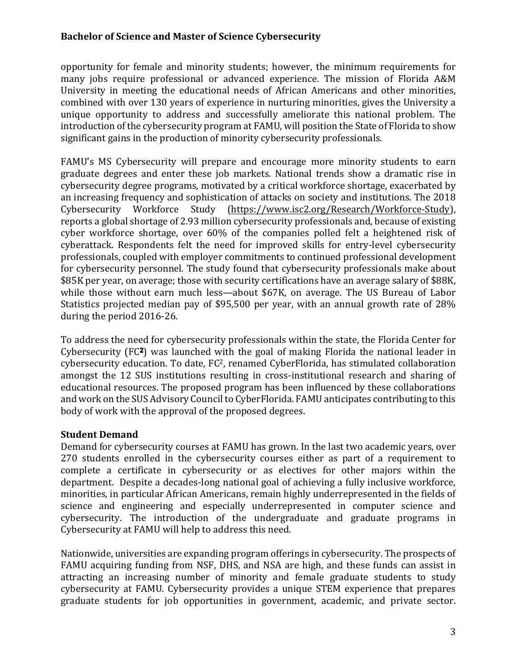opportunity for female and minority students; however, the minimum requirements for many jobs require professional or advanced experience. The mission of Florida A&M University in meeting the educational needs of African Americans and other minorities, combined with over 130 years of experience in nurturing minorities, gives the University a unique opportunity to address and successfully ameliorate this national problem. The introduction of the cybersecurity program at FAMU, will position the State of Florida to show significant gains in the production of minority cybersecurity professionals.

FAMU's MS Cybersecurity will prepare and encourage more minority students to earn graduate degrees and enter these job markets. National trends show a dramatic rise in cybersecurity degree programs, motivated by a critical workforce shortage, exacerbated by an increasing frequency and sophistication of attacks on society and institutions. The 2018 Cybersecurity Workforce Study (https://www.isc2.org/Research/Workforce-Study), reports a global shortage of 2.93 million cybersecurity professionals and, because of existing cyber workforce shortage, over 60% of the companies polled felt a heightened risk of cyberattack. Respondents felt the need for improved skills for entry-level cybersecurity professionals, coupled with employer commitments to continued professional development for cvbersecurity personnel. The study found that cybersecurity professionals make about \$85K per year, on average; those with security certifications have an average salary of \$88K, while those without earn much less—about \$67K, on average. The US Bureau of Labor Statistics projected median pay of \$95,500 per year, with an annual growth rate of 28% during the period 2016-26.

To address the need for cybersecurity professionals within the state, the Florida Center for Cybersecurity  $(FC<sup>2</sup>)$  was launched with the goal of making Florida the national leader in cybersecurity education. To date, FC<sup>2</sup>, renamed CyberFlorida, has stimulated collaboration amongst the 12 SUS institutions resulting in cross-institutional research and sharing of educational resources. The proposed program has been influenced by these collaborations and work on the SUS Advisory Council to CyberFlorida. FAMU anticipates contributing to this body of work with the approval of the proposed degrees.

# **Student Demand**

Demand for cybersecurity courses at FAMU has grown. In the last two academic years, over 270 students enrolled in the cybersecurity courses either as part of a requirement to complete a certificate in cybersecurity or as electives for other majors within the department. Despite a decades-long national goal of achieving a fully inclusive workforce, minorities, in particular African Americans, remain highly underrepresented in the fields of science and engineering and especially underrepresented in computer science and cybersecurity. The introduction of the undergraduate and graduate programs in Cybersecurity at FAMU will help to address this need.

Nationwide, universities are expanding program offerings in cybersecurity. The prospects of FAMU acquiring funding from NSF, DHS, and NSA are high, and these funds can assist in attracting an increasing number of minority and female graduate students to study cybersecurity at FAMU. Cybersecurity provides a unique STEM experience that prepares graduate students for job opportunities in government, academic, and private sector.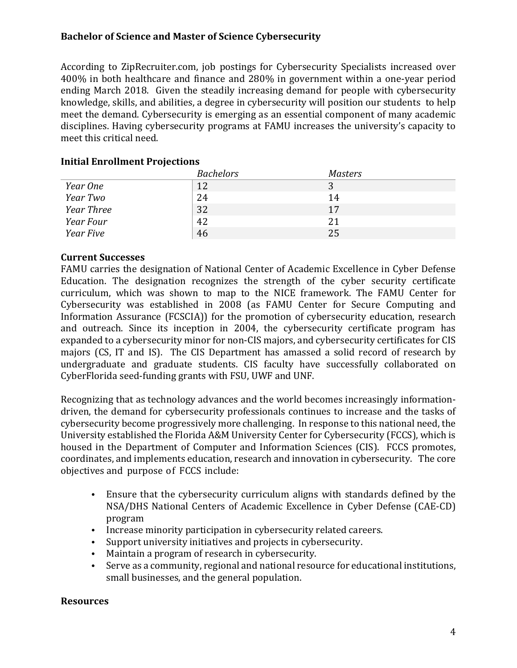According to ZipRecruiter.com, job postings for Cybersecurity Specialists increased over 400% in both healthcare and finance and 280% in government within a one-year period ending March 2018. Given the steadily increasing demand for people with cybersecurity knowledge, skills, and abilities, a degree in cybersecurity will position our students to help meet the demand. Cybersecurity is emerging as an essential component of many academic disciplines. Having cybersecurity programs at FAMU increases the university's capacity to meet this critical need.

## **Initial Enrollment Projections**

|                   | <b>Bachelors</b> | <b>Masters</b> |
|-------------------|------------------|----------------|
| Year One          | 12               |                |
| Year Two          | 24               | 14             |
| <b>Year Three</b> | 32               | 17             |
| Year Four         | 42               | 21             |
| Year Five         | 46               | 25             |

# **Current Successes**

FAMU carries the designation of National Center of Academic Excellence in Cyber Defense Education. The designation recognizes the strength of the cyber security certificate curriculum, which was shown to map to the NICE framework. The FAMU Center for Cybersecurity was established in 2008 (as FAMU Center for Secure Computing and Information Assurance (FCSCIA)) for the promotion of cybersecurity education, research and outreach. Since its inception in 2004, the cybersecurity certificate program has expanded to a cybersecurity minor for non-CIS majors, and cybersecurity certificates for CIS majors (CS, IT and IS). The CIS Department has amassed a solid record of research by undergraduate and graduate students. CIS faculty have successfully collaborated on CyberFlorida seed-funding grants with FSU, UWF and UNF.

Recognizing that as technology advances and the world becomes increasingly informationdriven, the demand for cybersecurity professionals continues to increase and the tasks of cybersecurity become progressively more challenging. In response to this national need, the University established the Florida A&M University Center for Cybersecurity (FCCS), which is housed in the Department of Computer and Information Sciences (CIS). FCCS promotes, coordinates, and implements education, research and innovation in cybersecurity. The core objectives and purpose of FCCS include:

- Ensure that the cybersecurity curriculum aligns with standards defined by the NSA/DHS National Centers of Academic Excellence in Cyber Defense (CAE-CD) program
- Increase minority participation in cybersecurity related careers.
- Support university initiatives and projects in cybersecurity.
- Maintain a program of research in cybersecurity.
- Serve as a community, regional and national resource for educational institutions, small businesses, and the general population.

## **Resources**